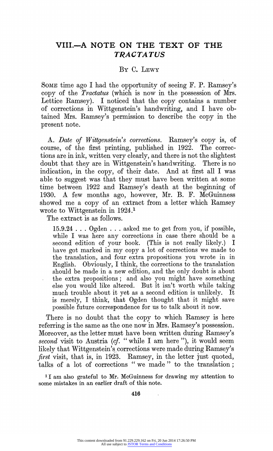## **VIII.-A NOTE ON THE TEXT OF THE TRACTATUS**

## **BY C. LEWY**

**SOME time ago I had the oppoftunity of seeing F. P. Ramsey's copy of the Tractatus (which is now in the possession of Mrs. Lettice Ramsey). I noticed that the copy contains a number of corrections in Wittgenstein's handwriting, and I have obtained Mrs. Ramsey's permission to describe the copy in the present note.** 

**A. Date of Wittgenstein's corrections. Ramsey's copy is, of course, of the first printing, published in 1922. The corrections are in ink, written very clearly, and there is not the slightest doubt that they are in Wittgenstein's handwriting. There is no indication, in the copy, of their date. And at first all I was able to suggest was that they must have been written at some time between 1922 and Ramsey's death at the beginning of 1930. A few months ago, however, Mr. B. F. McGuinness showed me a copy of an extract from a letter which Ramsey wrote to Wittgenstein in 1924.1** 

**The extract is as follows.** 

**15.9.24 . . . Ogden . . . asked me to get from you, if possible, while I was here any corrections in case there should be a second edition of your book. (This is not really likely.) I have got marked in my copy a lot of corrections we made to the translation, and four extra propositions you wrote in in Englisb. Obviously, I think, the corrections to the translation should be made in a new edition, and the only doubt is about the extra propositions; and also you might have something else you would like altered. But it isn't worth while taking much trouble about it yet as a second edition is unlikely. It is merely, I think, that Ogden thought that it might save possible future correspondence for us to talk about it now.** 

**There is no doubt that the copy to which Ramsey is here referring is the same as the one now in Mrs. Ramsey's possession. Moreover, as the letter must have been written during Ramsey's second visit to Austria (cf. " while I am here "), it would seem likely that Wittgenstein's corrections were made during Ramsey's first visit, that is, in 1923. Ramsey, in the letter just quoted, talks of a lot of corrections "we made " to the translation;** 

**I I am also grateful to Mr. McGuinness for drawing my attention to some mistakes in an earlier draft of this note.** 

**416**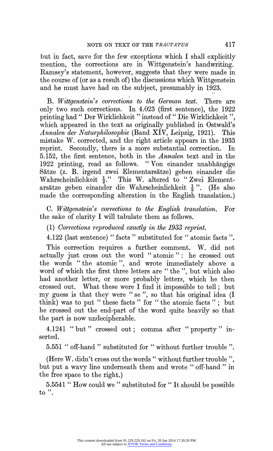**but in fact, save for the few exceptions which I shall explicitly mention, the corrections are in Wittgenstein's handwriting. Ramsey's statement, however, suggests that they were made in the course of (or as a result of) the discussions which Wittgenstein and he must have had on the subject, presumably in 1923.** 

**B.** Wittgenstein's corrections to the German text. There are **only two such corrections. In 4.023 (first sentence), the 1922 printing had " Der Wirklichkeit " instead of " Die Wirklichkeit ", which appeared in the text as originally published in Ostwald's Annalen der Naturphilosophie (Band XIV, Leipzig, 1921). This mistake W. corrected, and the right article appears in the 1933 reprint. Secondly, there is a more substantial correction. In 5.152, the first sentence, both in the Annalen text and in the 1922 printing, read as follows. " Von einander unabhangige Satze (z. B. irgend zwei Elementarsatze) geben einander die**  Wahrscheinlichkeit  $\frac{1}{2}$ ." This W. altered to "Zwei Element**arsatze geben einander die Wahrscheinlichkeit 2 " (He also made the corresponding alteration in the English translation.)** 

C. Wittgenstein's corrections to the English translation. For **the sake of clarity I will tabulate them as follows.** 

**(1) Corrections reproduced exactly in the 1933 reprint.** 

**4.122 (last sentence) " facts " substituted for " atomic facts ".** 

**This correction requires a further comment. W. did not actually just cross out the word " atomic ": he crossed out the words "the atomic ", and wrote immediately above a word of which the first three letters are " the ", but which also had another letter, or more probably letters, which he then crossed out. What these were I find it impossible to tell; but my guess is that they were " se ", so that his original idea (I think) was to put " these facts " for " the atomic facts " ; but he crossed out the end-part of the word quite heavily so that the part is now undecipherable.** 

**4.1241 "but" crossed out; comma after "property" inserted.** 

**5.551 " off-hand " substituted for "without further trouble ".** 

**(Here W. didn't cross out the words" without further trouble ", but put a wavy line underneath them and wrote " off-hand " in the free space to the right.)** 

**5.5541 " How could we " substituted for " It should be possible to ".**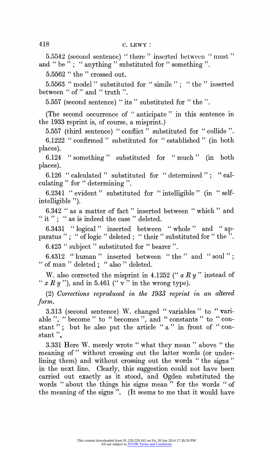**5.5542** (second sentence) " there " inserted between " must " and " be "; " anything " substituted for " something ".

**5.5562 " the " crossed out.** 

**5.5563 " model " substituted for " simile"; "the" inserted between "of " and " truth ".** 

**5.557 (second sentence) " its " substituted for "the ".** 

**(The second occurrence of " anticipate " in this sentence in the 1933 reprint is, of course, a misprint.)** 

**5.557 (third sentence) " conflict " substituted for " collide ". 6.1222 " confirmed" substituted for " established " (in both places).** 

**6.124 " something" substituted for "much" (in both places).** 

**6.126 " calculated " substituted for " determined " " calculating" for " determining ".** 

**6.2341 " evident " substituted for " intelligible " (in "selfintelligible ").** 

**6.342 " as a matter of fact" inserted between "which" and " it "; " as is indeed the case" deleted.** 

**6.3431 "logical " inserted between " whole" and "ap**paratus "; " of logic " deleted; " their " substituted for " the ". **6.423 " subject " substituted for " bearer ".** 

**6.4312 "human" inserted between " the " and " soul"; "of man" deleted; "also " deleted.** 

W. also corrected the misprint in 4.1252  $($ "  $a R y$ " instead of "  $x R y$ ", and in 5.461 (" $\overline{v}$ " in the wrong type).

**(2) Corrections reproduced in the 1933 reprint in an altered form.** 

**3.313 (second sentence) W. changed "variables" to " vari**able ", " become " to " becomes ", and " constants " to " constant"; but he also put the article "a" in front of "con**stant ".** 

**3.331 Here W. merely wrote " what they mean " above " the meaning of " without crossing out the latter words (or underlining them) and without crossing out the words " the signs " in the next line. Clearly, this suggestion could not have been carried out exactly as it stood, and Ogden substituted the words " about the things his signs mean " for the words " of the meaning of the signs ". (It seems to me that it would have**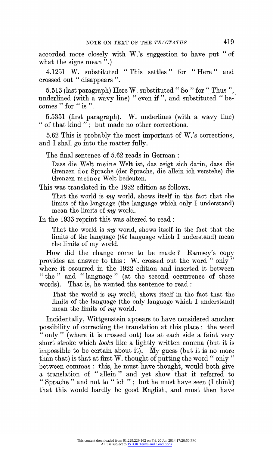**accorded more closely with W.'s suggestion to have put " of**  what the signs mean  $\dddot{''}$ .

**4.1251 W. substituted " This settles " for " Here " and crossed out " disappears ".** 

**5.513 (last paragraph) Here W. substituted " So " for " Thus ", underlined (with a wavy line) " even if ", and substituted " becomes" for "is ".** 

5.5351 (first paragraph). W. underlines (with a wavy line) **"of that kind "; but made no other corrections.** 

**5.62 This is probably the most important of W.'s corrections, and I shall go into the matter fully.** 

**The final sentence of 5.62 reads in German:** 

**Dass die Welt meine Welt ist, das zeigt sich darin, dass die Grenzen der Sprache (der Sprache, die allein ich verstehe) die Grenzen meiner Welt bedeuten.** 

**This was translated in the 1922 edition as follows.** 

That the world is *my* world, shows itself in the fact that the **limits of the language (the language which only I understand) mean the limits of my world.** 

**In the 1933 reprint this was altered to read:** 

**That the world is my world, shows itself in the fact that the limits of the language (the language which I understand) mean the limits of my world.** 

**How did the change come to be made ? Ramsey's copv**  provides an answer to this: W. crossed out the word "only" **where it occurred in the 1922 edition and inserted it between "the " and "language " (at the second occurrence of these words). That is, he wanted the sentence to read:** 

**That the world is my world, shows itself in the fact that the limits of the language (the only language which I understand) mean the limits of my world.** 

**Incidentally, Wittgenstein appears to have considered another possibility of correcting the translation at this place: the word " only " (where it is crossed out) has at each side a faint very short stroke which looks like a lightly written comma (but it is impossible to be certain about it). My guess (but it is no more than that) is that at first W. thought of putting the word " only" between commas: this, he must have thought, would both give a translation of "allein " and yet show that it referred to " Sprache " and not to " ich "; but he must have seen (I think) that this would hardly be good English, and must then have**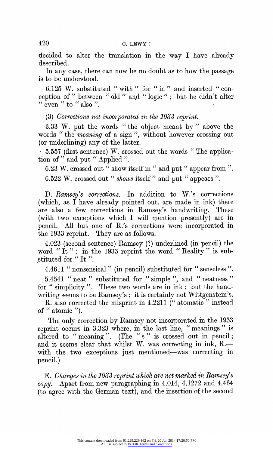**decided to alter the translation in the way I have already described.** 

**In any case, there can now be no doubt as to how the passage is to be understood.** 

**6.125 W. substituted "with " for " in" and inserted " con**ception of " between " old " and " logic "; but he didn't alter  $\epsilon$  even " to  $\epsilon$  also".

**(3) Corrections not incorporated in the 1933 reprint.** 

**3.33 W. put the words " the object meant by " above the words " the meaning of a sign ", without however crossing out (or underlining) any of the latter.** 

**5.557 (first sentence) W. crossed out the words " The application of " and put " Applied ".** 

**6.23 W. crossed out " show itself in" and put " appear from ". 6.522 W. crossed out " shows itself" and put " appears ".** 

**D. Ramsey's corrections. In addition to W.'s corrections (which, as I have already pointed out, are made in ink) there are also a few corrections in Ramsey's handwriting. These (with two exceptions which I will mention presently) are in pencil. All but one of R.'s corrections were incorporated in the 1933 reprint. They are as follows.** 

**4.023 (second sentence) Ramsey (?) underlined (in pencil) the**  word "It": in the 1933 reprint the word "Reality" is sub**stituted for " It ".** 

**4.4611 "nonsensical " (in pencil) substituted for "senseless ".** 

**5.4541 "neat" substituted for " simple ", and "neatness" for " simplicity ". These two words are in ink; but the handwriting seems to be Ramsey's; it is certainly not Wittgenstein's.** 

**R. also corrected the misprint in 4.2211 (" atomatic " instead of " atomic ").** 

**The only correction by Ramsey not incorporated in the 1933 reprint occurs in 3.323 where, in the last line, " meanings " is**  altered to "meaning". (The "s" is crossed out in pencil; and it seems clear that whilst W. was correcting in ink, R. with the two exceptions just mentioned—was correcting in **pencil.)** 

**E. Changes in the 1933 reprint which are not marked in Ramsey's copy. Apart from new paragraphing in 4.014, 4.1272 and 4.464 (to agree with the German text), and the insertion of the second**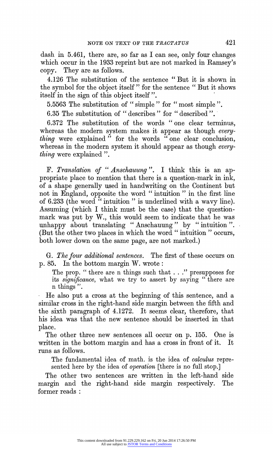**dash in 5.461, there are, so far as I can see, only four changes which occur in the 1933 reprint but are not marked in Ramsey's copy. They are as follows.** 

**4.126 The substitution of the sentence " But it is shown in the symbol for the object itself " for the sentence " But it shows itself in the sign of this object itself".** 

**5.5563 The substitution of " simple" for "most simple ".** 

**6.35 The substitution of " describes" for "described ".'** 

6.372 The substitution of the words "one clear terminus, **whereas the modern system makes it appear as though every**thing were explained " for the words " one clear conclusion, **whereas in the modern system it should appear as though everything were explained ".** 

**F. Translation of "Anschauung". I think this is an appropriate place to mention that there is a question-mark in ink, of a shape generally used in handwriting on the Continent but not in England, opposite the word " intuition " in the first line of 6.233 (the word " intuition " is underlined with a wavy line). Assuming (which I think must be the case) that the questionmark was put by W., this would seem to indicate that he was unhappy about translating "Anschauung" by "intuition ". (But the other two places in which the word " intuition " occurs, both lower down on the same page, are not marked.)** 

**G. The four additional sentences. The first of these occurs on p. 85. In the bottom margin W. wrote:** 

**The prop. " there are n things such that . . ." presupposes for its significance, what we try to assert by saying " there are n things ".** 

**He also put a cross at the beginning of this sentence, and a similar cross in the right-hand side margin between the fifth and the sixth paragraph of 4.1272. It seems clear, therefore, that his idea was that the new sentence should be inserted in that place.** 

**The other three new sentences all occur on p. 155. One is written in the bottom margin and has a cross in front of it. It runs as follows.** 

**The fundamental idea of math. is the idea of calculus represented here by the idea of operation [there is no full stop.]** 

The other two sentences are written in the left-hand side **margin and the right-hand side margin respectively. The former reads:**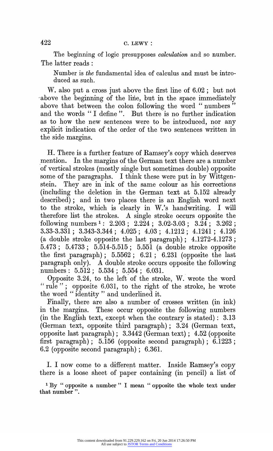**The beginning of logic presupposes calculation and so number. The latter reads:** 

**Number is the fundamental idea of calculus and must be introduced as such.** 

**W. also put a cross just above the first line of 6.02; but not -above the beginning of the line, but in the space immediately**  above that between the colon following the word "numbers" and the words " I define ". But there is no further indication **as to how the new sentences were to be introduced, nor any explicit indication of the order of the two sentences written in the side margins.** 

**H. There is a further feature of Ramsey's copy which deserves mention. In the margins of the German text there are a number of vertical strokes (mostly single but sometimes double) opposite some of the paragraphs. I think these were put in by Wittgenstein. They are in ink of the same colour as his corrections (including the deletion in the German text at 5.152 already described); and in two places there is an English word next to the stroke, which is clearly in W.'s handwriting. I will therefore list the strokes. A single stroke occurs opposite the following numbers 1: 2.203; 2.224; 3.02-3.03; 3.24; 3.262; 3.33-3.331; 3.343-3.344; 4.025; 4.03; 4.1212; 4.1241; 4.126 (a double stroke opposite the last paragraph); 4.1272-4.1273; 5.473; 5.4733; 5.514-5.515; 5.551 (a double stroke opposite the first paragraph); 5.5562; 6.21; 6.231 (opposite the last paragraph only). A double stroke occurs opposite the following numbers: .5.512; 5.534; 5.554; 6.031.** 

**Opposite 3.24, to the left of the stroke, W. wrote the word rule"; opposite 6.031, to the right of the stroke, he wrote the word " identity " and underlined it.** 

**Finally, there are also a number of crosses written (in ink) in the margins. These occur opposite the following numbers (in the English text, except when the contrary is stated): 3.13 (German text, opposite third paragraph); 3.24 (German text, opposite last paragraph); 3.3442 (German text); 4.52 (opposite first paragraph); 5.156 (opposite second paragraph); 6.1223; 6.2 (opposite second paragraph); 6.361.** 

**I. I now come to a different matter. Inside Ramsey's copy there is a loose sheet of paper containing (in pencil) a list of** 

**<sup>1</sup>By " opposite a number " I mean " opposite the whole text under that number ".**